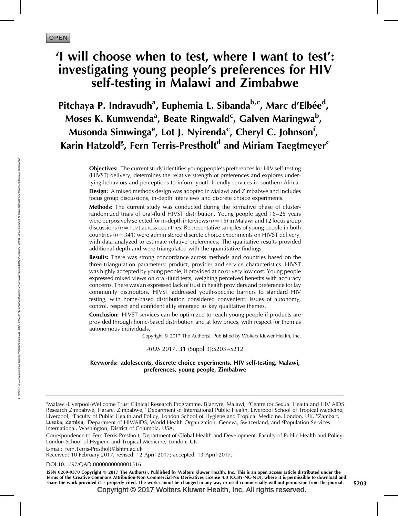# 'I will choose when to test, where I want to test': investigating young people's preferences for HIV self-testing in Malawi and Zimbabwe

Pitchaya P. Indravudh<sup>a</sup>, Euphemia L. Sibanda<sup>b,c</sup>, Marc d'Elbée<sup>d</sup>, Moses K. Kumwenda<sup>a</sup>, Beate Ringwald<sup>c</sup>, Galven Maringwa<sup>b</sup>, Musonda Simwinga<sup>e</sup>, Lot J. Nyirenda<sup>c</sup>, Cheryl C. Johnson<sup>f</sup>, Karin Hatzold<sup>g</sup>, Fern Terris-Prestholt<sup>d</sup> and Miriam Taegtmeyer<sup>c</sup>

> Objectives: The current study identifies young people's preferences for HIV self-testing (HIVST) delivery, determines the relative strength of preferences and explores underlying behaviors and perceptions to inform youth-friendly services in southern Africa.

> **Design:** A mixed methods design was adopted in Malawi and Zimbabwe and includes focus group discussions, in-depth interviews and discrete choice experiments.

> Methods: The current study was conducted during the formative phase of clusterrandomized trials of oral-fluid HIVST distribution. Young people aged 16–25 years were purposively selected for in-depth interviews ( $n = 15$ ) in Malawi and 12 focus group discussions ( $n = 107$ ) across countries. Representative samples of young people in both countries ( $n = 341$ ) were administered discrete choice experiments on HIVST delivery, with data analyzed to estimate relative preferences. The qualitative results provided additional depth and were triangulated with the quantitative findings.

> **Results:** There was strong concordance across methods and countries based on the three triangulation parameters: product, provider and service characteristics. HIVST was highly accepted by young people, if provided at no or very low cost. Young people expressed mixed views on oral-fluid tests, weighing perceived benefits with accuracy concerns. There was an expressed lack of trust in health providers and preference for lay community distributors. HIVST addressed youth-specific barriers to standard HIV testing, with home-based distribution considered convenient. Issues of autonomy, control, respect and confidentiality emerged as key qualitative themes.

> Conclusion: HIVST services can be optimized to reach young people if products are provided through home-based distribution and at low prices, with respect for them as autonomous individuals.

> > Copyright © 2017 The Author(s). Published by Wolters Kluwer Health, Inc.

## AIDS 2017, 31 (Suppl 3):S203–S212

## Keywords: adolescents, discrete choice experiments, HIV self-testing, Malawi, preferences, young people, Zimbabwe

<sup>a</sup>Malawi-Liverpool-Wellcome Trust Clinical Research Programme, Blantyre, Malawi, <sup>b</sup>Centre for Sexual Health and HIV AIDS Research Zimbabwe, Harare, Zimbabwe, <sup>c</sup>Department of International Public Health, Liverpool School of Tropical Medicine, Liverpool, <sup>d</sup>Faculty of Public Health and Policy, London School of Hygiene and Tropical Medicine, London, UK, <sup>e</sup>Zambart, Lusaka, Zambia, <sup>f</sup>Department of HIV/AIDS, World Health Organization, Geneva, Switzerland, and <sup>g</sup>Population Services International, Washington, District of Columbia, USA.

Correspondence to Fern Terris-Prestholt, Department of Global Health and Development, Faculty of Public Health and Policy, London School of Hygiene and Tropical Medicine, London, UK.

E-mail: [Fern.Terris-Prestholt@lshtm.ac.uk](mailto:Fern.Terris-Prestholt@lshtm.ac.uk)

Received: 10 February 2017; revised: 12 April 2017; accepted: 13 April 2017.

DOI[:10.1097/QAD.0000000000001516](http://dx.doi.org/10.1097/QAD.0000000000001516)

ISSN 0269-9370 Copyright © 2017 The Author(s). Published by Wolters Kluwer Health, Inc. This is an open access article distributed under the terms of the Creative Commons Attribution-Non Commercial-No Derivatives License 4.0 (CCBY-NC-ND), where it is permissible to download and share the work provided it is properly cited. The work cannot be changed in any way or used commercially without permission from the journal.  $S203$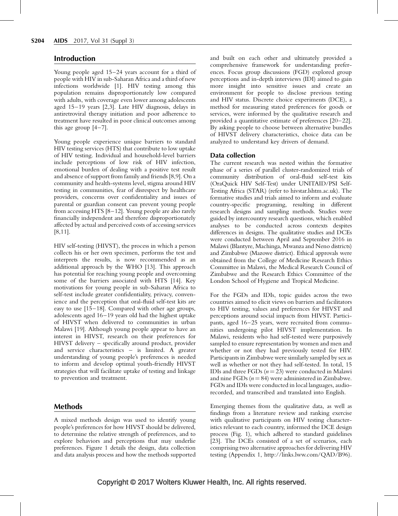# Introduction

Young people aged 15–24 years account for a third of people with HIV in sub-Saharan Africa and a third of new infections worldwide [1]. HIV testing among this population remains disproportionately low compared with adults, with coverage even lower among adolescents aged 15–19 years [2,3]. Late HIV diagnosis, delays in antiretroviral therapy initiation and poor adherence to treatment have resulted in poor clinical outcomes among this age group  $[4-7]$ .

Young people experience unique barriers to standard HIV testing services (HTS) that contribute to low uptake of HIV testing. Individual and household-level barriers include perceptions of low risk of HIV infection, emotional burden of dealing with a positive test result and absence of support from family and friends [8,9]. On a community and health-systems level, stigma around HIV testing in communities, fear of disrespect by healthcare providers, concerns over confidentiality and issues of parental or guardian consent can prevent young people from accessing HTS [8–12]. Young people are also rarely financially independent and therefore disproportionately affected by actual and perceived costs of accessing services [8,11].

HIV self-testing (HIVST), the process in which a person collects his or her own specimen, performs the test and interprets the results, is now recommended as an additional approach by the WHO [13]. This approach has potential for reaching young people and overcoming some of the barriers associated with HTS [14]. Key motivations for young people in sub-Saharan Africa to self-test include greater confidentiality, privacy, convenience and the perception that oral-fluid self-test kits are easy to use [15–18]. Compared with other age groups, adolescents aged 16–19 years old had the highest uptake of HIVST when delivered to communities in urban Malawi [19]. Although young people appear to have an interest in HIVST, research on their preferences for HIVST delivery – specifically around product, provider and service characteristics – is limited. A greater understanding of young people's preferences is needed to inform and develop optimal youth-friendly HIVST strategies that will facilitate uptake of testing and linkage to prevention and treatment.

# Methods

A mixed methods design was used to identify young people's preferences for how HIVST should be delivered, to determine the relative strength of preferences, and to explore behaviors and perceptions that may underlie preferences. Figure 1 details the design, data collection and data analysis process and how the methods supported and built on each other and ultimately provided a comprehensive framework for understanding preferences. Focus group discussions (FGD) explored group perceptions and in-depth interviews (IDI) aimed to gain more insight into sensitive issues and create an environment for people to disclose previous testing and HIV status. Discrete choice experiments (DCE), a method for measuring stated preferences for goods or services, were informed by the qualitative research and provided a quantitative estimate of preferences [20–22]. By asking people to choose between alternative bundles of HIVST delivery characteristics, choice data can be analyzed to understand key drivers of demand.

## Data collection

The current research was nested within the formative phase of a series of parallel cluster-randomized trials of community distribution of oral-fluid self-test kits (OraQuick HIV Self-Test) under UNITAID/PSI Self-Testing Africa (STAR) (refer to hivstar.lshtm.ac.uk). The formative studies and trials aimed to inform and evaluate country-specific programing, resulting in different research designs and sampling methods. Studies were guided by intercountry research questions, which enabled analyses to be conducted across contexts despites differences in designs. The qualitative studies and DCEs were conducted between April and September 2016 in Malawi (Blantyre, Machinga, Mwanza and Neno districts) and Zimbabwe (Mazowe district). Ethical approvals were obtained from the College of Medicine Research Ethics Committee in Malawi, the Medical Research Council of Zimbabwe and the Research Ethics Committee of the London School of Hygiene and Tropical Medicine.

For the FGDs and IDIs, topic guides across the two countries aimed to elicit views on barriers and facilitators to HIV testing, values and preferences for HIVST and perceptions around social impacts from HIVST. Participants, aged 16–25 years, were recruited from communities undergoing pilot HIVST implementation. In Malawi, residents who had self-tested were purposively sampled to ensure representation by women and men and whether or not they had previously tested for HIV. Participants in Zimbabwe were similarly sampled by sex as well as whether or not they had self-tested. In total, 15 IDIs and three FGDs  $(n = 23)$  were conducted in Malawi and nine FGDs ( $n = 84$ ) were administered in Zimbabwe. FGDs and IDIs were conducted in local languages, audiorecorded, and transcribed and translated into English.

Emerging themes from the qualitative data, as well as findings from a literature review and ranking exercise with qualitative participants on HIV testing characteristics relevant to each country, informed the DCE design process (Fig. 1), which adhered to standard guidelines [23]. The DCEs consisted of a set of scenarios, each comprising two alternative approaches for delivering HIV testing (Appendix 1,<http://links.lww.com/QAD/B96>).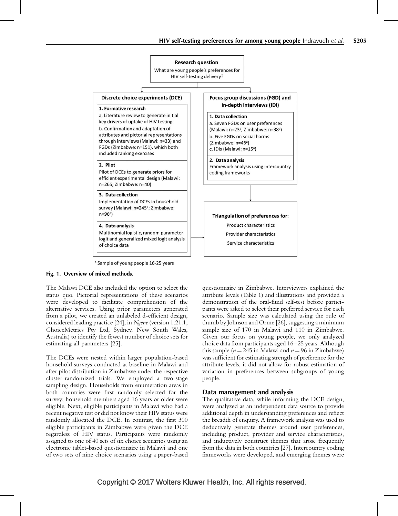

<sup>a</sup> Sample of young people 16-25 years

## Fig. 1. Overview of mixed methods.

The Malawi DCE also included the option to select the status quo. Pictorial representations of these scenarios were developed to facilitate comprehension of the alternative services. Using prior parameters generated from a pilot, we created an unlabeled d-efficient design, considered leading practice [24], in Ngene (version 1.21.1; ChoiceMetrics Pty Ltd, Sydney, New South Wales, Australia) to identify the fewest number of choice sets for estimating all parameters [25].

The DCEs were nested within larger population-based household surveys conducted at baseline in Malawi and after pilot distribution in Zimbabwe under the respective cluster-randomized trials. We employed a two-stage sampling design. Households from enumeration areas in both countries were first randomly selected for the survey; household members aged 16 years or older were eligible. Next, eligible participants in Malawi who had a recent negative test or did not know their HIV status were randomly allocated the DCE. In contrast, the first 300 eligible participants in Zimbabwe were given the DCE regardless of HIV status. Participants were randomly assigned to one of 40 sets of six choice scenarios using an electronic tablet-based questionnaire in Malawi and one of two sets of nine choice scenarios using a paper-based

questionnaire in Zimbabwe. Interviewers explained the attribute levels (Table 1) and illustrations and provided a demonstration of the oral-fluid self-test before participants were asked to select their preferred service for each scenario. Sample size was calculated using the rule of thumb by Johnson and Orme [26], suggesting a minimum sample size of 170 in Malawi and 110 in Zimbabwe. Given our focus on young people, we only analyzed choice data from participants aged 16–25 years. Although this sample ( $n = 245$  in Malawi and  $n = 96$  in Zimbabwe) was sufficient for estimating strength of preference for the attribute levels, it did not allow for robust estimation of variation in preferences between subgroups of young people.

# Data management and analysis

The qualitative data, while informing the DCE design, were analyzed as an independent data source to provide additional depth in understanding preferences and reflect the breadth of enquiry. A framework analysis was used to deductively generate themes around user preferences, including product, provider and service characteristics, and inductively construct themes that arose frequently from the data in both countries [27]. Intercountry coding frameworks were developed, and emerging themes were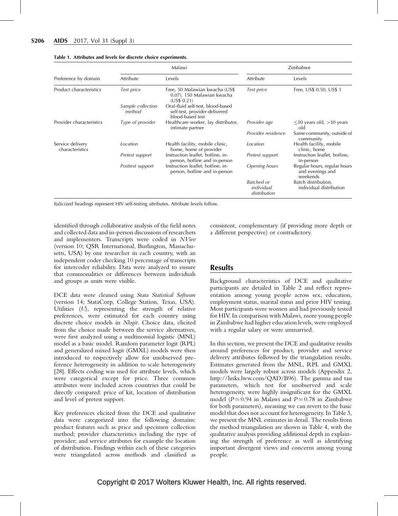|                                     |                             | Malawi                                                                                 | Zimbabwe                                 |                                                              |  |
|-------------------------------------|-----------------------------|----------------------------------------------------------------------------------------|------------------------------------------|--------------------------------------------------------------|--|
| Preference by domain                | Attribute                   | Levels                                                                                 | Attribute                                | Levels                                                       |  |
| Product characteristics             | Test price                  | Free, 50 Malawian kwacha (US\$<br>0.07), 150 Malawian kwacha<br>(US\$ 0.21)            | Test price                               | Free, US\$ 0.50, US\$ 1                                      |  |
|                                     | Sample collection<br>method | Oral-fluid self-test, blood-based<br>self-test, provider-delivered<br>blood-based test |                                          |                                                              |  |
| Provider characteristics            | Type of provider            | Healthcare worker, lay distributor,<br>intimate partner                                | Provider age                             | $\leq$ 30 years old, >30 years<br>old                        |  |
|                                     |                             |                                                                                        | Provider residence                       | Same community, outside of<br>community                      |  |
| Service delivery<br>characteristics | Location                    | Health facility, mobile clinic,<br>home, home of provider                              | Location                                 | Health facility, mobile<br>clinic, home                      |  |
|                                     | Pretest support             | Instruction leaflet, hotline, in-<br>person, hotline and in-person                     | Pretest support                          | Instruction leaflet, hotline,<br>in-person                   |  |
|                                     | Posttest support            | Instruction leaflet, hotline, in-<br>person, hotline and in-person                     | Opening hours                            | Regular hours, regular hours<br>and evenings and<br>weekends |  |
|                                     |                             |                                                                                        | Batched or<br>individual<br>distribution | Batch distribution,<br>individual distribution               |  |

#### Table 1. Attributes and levels for discrete choice experiments.

Italicized headings represent HIV self-testing attributes. Attribute levels follow.

identified through collaborative analysis of the field notes and collected data and in-person discussions of researchers and implementers. Transcripts were coded in NVivo (version 10; QSR International, Burlington, Massachusetts, USA) by one researcher in each country, with an independent coder checking 10 percentage of transcripts for intercoder reliability. Data were analyzed to ensure that commonalities or differences between individuals and groups as units were visible.

DCE data were cleaned using Stata Statistical Software (version 14; StataCorp, College Station, Texas, USA). Utilities (U), representing the strength of relative preferences, were estimated for each country using discrete choice models in Nlogit. Choice data, elicited from the choice made between the service alternatives, were first analyzed using a multinomial logistic (MNL) model as a basic model. Random parameter logit (RPL) and generalized mixed logit (GMXL) models were then introduced to respectively allow for unobserved preference heterogeneity in addition to scale heterogeneity [28]. Effects coding was used for attribute levels, which were categorical except for price. Three common attributes were included across countries that could be directly compared: price of kit, location of distribution and level of pretest support.

Key preferences elicited from the DCE and qualitative data were categorized into the following domains: product features such as price and specimen collection method; provider characteristics including the type of provider; and service attributes for example the location of distribution. Findings within each of these categories were triangulated across methods and classified as consistent, complementary (if providing more depth or a different perspective) or contradictory.

## Results

Background characteristics of DCE and qualitative participants are detailed in Table 2 and reflect representation among young people across sex, education, employment status, marital status and prior HIV testing. Most participants were women and had previously tested for HIV. In comparison with Malawi, more young people in Zimbabwe had higher education levels, were employed with a regular salary or were unmarried.

In this section, we present the DCE and qualitative results around preferences for product, provider and service delivery attributes followed by the triangulation results. Estimates generated from the MNL, RPL and GMXL models were largely robust across models (Appendix 2, <http://links.lww.com/QAD/B96>). The gamma and tau parameters, which test for unobserved and scale heterogeneity, were highly insignificant for the GMXL model ( $P = 0.94$  in Malawi and  $P = 0.78$  in Zimbabwe for both parameters), meaning we can revert to the basic model that does not account for heterogeneity. In Table 3, we present the MNL estimates in detail. The results from the method triangulation are shown in Table 4, with the qualitative analysis providing additional depth in explaining the strength of preference as well as identifying important divergent views and concerns among young people.

# Copyright © 2017 Wolters Kluwer Health, Inc. All rights reserved.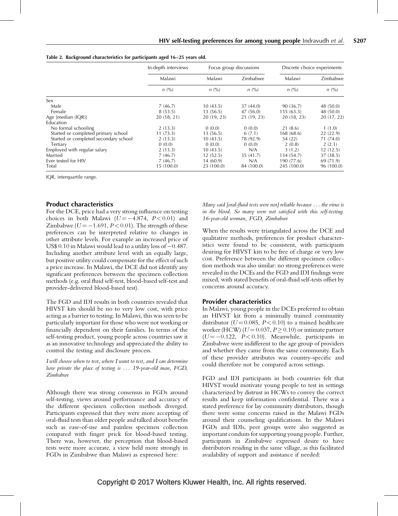|                                       | In-depth interviews | Focus group discussions |             | Discrete choice experiments |            |  |
|---------------------------------------|---------------------|-------------------------|-------------|-----------------------------|------------|--|
|                                       | Malawi              | Malawi                  | Zimbabwe    | Malawi                      | Zimbabwe   |  |
|                                       | $n\ (\%)$           | $n\ (\%)$               | n (%)       | $n\left(\frac{0}{0}\right)$ | n (%)      |  |
| Sex                                   |                     |                         |             |                             |            |  |
| Male                                  | 7(46.7)             | 10(43.5)                | 37(44.0)    | 90 (36.7)                   | 48 (50.0)  |  |
| Female                                | 8(53.5)             | 13 (56.5)               | 47(56.0)    | 155(63.3)                   | 48 (50.0)  |  |
| Age [median $(IQR)$ ]                 | 20(18, 21)          | 20 (19, 23)             | 21 (19, 23) | 20(18, 23)                  | 20(17, 22) |  |
| Education                             |                     |                         |             |                             |            |  |
| No formal schooling                   | 2(13.3)             | 0(0.0)                  | 0(0.0)      | 21(8.6)                     | 1(1.0)     |  |
| Started or completed primary school   | 11(73.3)            | 13 (56.5)               | 6(7.1)      | 168 (68.6)                  | 22(22.9)   |  |
| Started or completed secondary school | 2(13.3)             | 10(43.5)                | 78 (92.9)   | 54 (22)                     | 71 (74.0)  |  |
| Tertiary                              | 0(0.0)              | 0(0.0)                  | 0(0.0)      | 2(0.8)                      | 2(2.1)     |  |
| Employed with regular salary          | 2(13.3)             | 10(43.5)                | N/A         | 3(1.2)                      | 12(12.5)   |  |
| Married                               | 7(46.7)             | 12(52.5)                | 35 (41.7)   | 134 (54.7)                  | 37 (38.5)  |  |
| Ever tested for HIV                   | 7(46.7)             | 14 (60.9)               | N/A         | 190 (77.6)                  | 69 (71.9)  |  |
| Total                                 | 15(100.0)           | 23 (100.0)              | 84 (100.0)  | 245 (100.0)                 | 96 (100.0) |  |

Table 2. Background characteristics for participants aged 16–25 years old.

IQR, interquartile range.

# Product characteristics

For the DCE, price had a very strong influence on testing choices in both Malawi ( $U = -4.874$ ,  $P < 0.01$ ) and Zimbabwe ( $U = -1.691$ ,  $P < 0.01$ ). The strength of these preferences can be interpreted relative to changes in other attribute levels. For example an increased price of US\$ 0.10 in Malawi would lead to a utility loss of  $-0.487$ . Including another attribute level with an equally large, but positive utility could compensate for the effect of such a price increase. In Malawi, the DCE did not identify any significant preferences between the specimen collection methods (e.g. oral fluid self-test, blood-based self-test and provider-delivered blood-based test).

The FGD and IDI results in both countries revealed that HIVST kits should be no to very low cost, with price acting as a barrier to testing. In Malawi, this was seen to be particularly important for those who were not working or financially dependent on their families. In terms of the self-testing product, young people across countries saw it as an innovative technology and appreciated the ability to control the testing and disclosure process.

I will choose when to test, where I want to test, and I can determine how private the place of testing is ... 19-year-old man, FGD, Zimbabwe

Although there was strong consensus in FGDs around self-testing, views around performance and accuracy of the different specimen collection methods diverged. Participants expressed that they were more accepting of oral-fluid tests than older people and talked about benefits such as ease-of-use and painless specimen collection compared with finger prick for blood-based testing. There was, however, the perception that blood-based tests were more accurate, a view held more strongly in FGDs in Zimbabwe than Malawi as expressed here:

Many said [oral-fluid tests were not] reliable because . . . the virus is in the blood. So many were not satisfied with this self-testing. 16-year-old woman, FGD, Zimbabwe

When the results were triangulated across the DCE and qualitative methods, preferences for product characteristics were found to be consistent, with participants desiring for HIVST kits to be free of charge or very low cost. Preference between the different specimen collection methods was also similar: no strong preferences were revealed in the DCEs and the FGD and IDI findings were mixed, with stated benefits of oral-fluid self-tests offset by concerns around accuracy.

## Provider characteristics

In Malawi, young people in the DCEs preferred to obtain an HIVST kit from a minimally trained community distributor ( $U = 0.085$ ,  $P < 0.10$ ) to a trained healthcare worker (HCW) ( $U = 0.037$ ,  $P \ge 0.10$ ) or intimate partner  $(U = -0.122, P < 0.10)$ . Meanwhile, participants in Zimbabwe were indifferent to the age group of providers and whether they came from the same community. Each of these provider attributes was country-specific and could therefore not be compared across settings.

FGD and IDI participants in both countries felt that HIVST would motivate young people to test in settings characterized by distrust in HCWs to convey the correct results and keep information confidential. There was a stated preference for lay community distributors, though there were some concerns raised in the Malawi FGDs around their counseling qualifications. In the Malawi FGDs and IDIs, peer groups were also suggested as important conduits for supporting young people. Further, participants in Zimbabwe expressed desire to have distributors residing in the same village, as this facilitated availability of support and assistance if needed:

# Copyright © 2017 Wolters Kluwer Health, Inc. All rights reserved.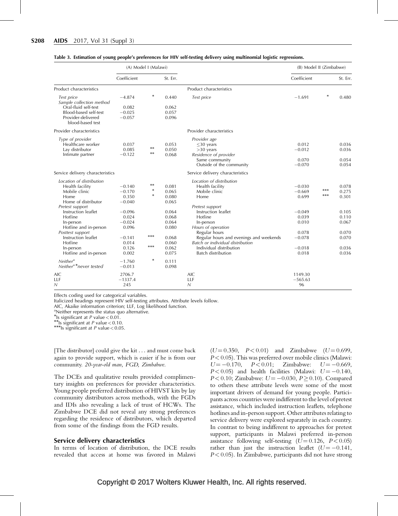|                                                                | (A) Model I (Malawi) |        |          |                                         | (B) Model II (Zimbabwe) |        |          |
|----------------------------------------------------------------|----------------------|--------|----------|-----------------------------------------|-------------------------|--------|----------|
|                                                                | Coefficient          |        | St. Err. |                                         | Coefficient             |        | St. Err. |
| Product characteristics                                        |                      |        |          | Product characteristics                 |                         |        |          |
| Test price<br>Sample collection method<br>Oral-fluid self-test | $-4.874$             | $\ast$ | 0.440    | Test price                              | $-1.691$                | $\ast$ | 0.480    |
|                                                                | 0.082<br>$-0.025$    |        | 0.062    |                                         |                         |        |          |
| Blood-based self-test                                          |                      |        | 0.057    |                                         |                         |        |          |
| Provider-delivered<br>blood-based test                         | $-0.057$             |        | 0.096    |                                         |                         |        |          |
| Provider characteristics                                       |                      |        |          | Provider characteristics                |                         |        |          |
| Type of provider                                               |                      |        |          | Provider age                            |                         |        |          |
| Healthcare worker                                              | 0.037                |        | 0.053    | $\leq$ 30 years                         | 0.012                   |        | 0.036    |
| Lay distributor                                                | 0.085                | $**$   | 0.050    | $>30$ years                             | $-0.012$                |        | 0.036    |
| Intimate partner                                               | $-0.122$             | $**$   | 0.068    | Residence of provider                   |                         |        |          |
|                                                                |                      |        |          | Same community                          | 0.070                   |        | 0.054    |
|                                                                |                      |        |          | Outside of the community                | $-0.070$                |        | 0.054    |
| Service delivery characteristics                               |                      |        |          | Service delivery characteristics        |                         |        |          |
| Location of distribution                                       |                      |        |          | Location of distribution                |                         |        |          |
| Health facility                                                | $-0.140$             | $**$   | 0.081    | Health facility                         | $-0.030$                |        | 0.078    |
| Mobile clinic                                                  | $-0.170$             | $\ast$ | 0.065    | Mobile clinic                           | $-0.669$                | ***    | 0.275    |
| Home                                                           | 0.350                | $\ast$ | 0.080    | Home                                    | 0.699                   | ***    | 0.301    |
| Home of distributor                                            | $-0.040$             |        | 0.065    |                                         |                         |        |          |
| Pretest support                                                |                      |        |          | Pretest support                         |                         |        |          |
| Instruction leaflet                                            | $-0.096$             |        | 0.064    | Instruction leaflet                     | $-0.049$                |        | 0.105    |
| Hotline                                                        | 0.024                |        | 0.068    | Hotline                                 | 0.039                   |        | 0.110    |
| In-person                                                      | $-0.024$             |        | 0.064    | In-person                               | 0.010                   |        | 0.067    |
| Hotline and in-person                                          | 0.096                |        | 0.080    | Hours of operation                      |                         |        |          |
| Posttest support                                               |                      |        |          | Regular hours                           | 0.078                   |        | 0.070    |
| Instruction leaflet                                            | $-0.141$             | $***$  | 0.068    | Regular hours and evenings and weekends | $-0.078$                |        | 0.070    |
| Hotline                                                        | 0.014                |        | 0.060    | Batch or individual distribution        |                         |        |          |
| In-person                                                      | 0.126                | ***    | 0.062    | Individual distribution                 | $-0.018$                |        | 0.036    |
| Hotline and in-person                                          | 0.002                |        | 0.075    | Batch distribution                      | 0.018                   |        | 0.036    |
|                                                                |                      | $\ast$ |          |                                         |                         |        |          |
| Neither <sup>a</sup>                                           | $-1.760$             |        | 0.111    |                                         |                         |        |          |
| Neither <sup>a*</sup> never tested                             | $-0.013$             |        | 0.098    |                                         |                         |        |          |
| <b>AIC</b>                                                     | 2706.7               |        |          | <b>AIC</b>                              | 1149.30                 |        |          |
| LLF                                                            | $-1337.4$            |        |          | LLF                                     | $-565.63$               |        |          |
| $\overline{\mathsf{N}}$                                        | 245                  |        |          | N                                       | 96                      |        |          |

#### Table 3. Estimation of young people's preferences for HIV self-testing delivery using multinomial logistic regressions.

Effects coding used for categorical variables.

Italicized headings represent HIV self-testing attributes. Attribute levels follow.

AIC, Akaike information criterion; LLF, Log likelihood function.

<sup>a</sup>Neither represents the status quo alternative.

\*Is significant at  $P$  value < 0.01.

**Is significant at P value < 0.10.** MIS significant at P value < 0.05.

[The distributor] could give the kit ... and must come back again to provide support, which is easier if he is from our community. 20-year-old man, FGD, Zimbabwe.

The DCEs and qualitative results provided complimentary insights on preferences for provider characteristics. Young people preferred distribution of HIVST kits by lay community distributors across methods, with the FGDs and IDIs also revealing a lack of trust of HCWs. The Zimbabwe DCE did not reveal any strong preferences regarding the residence of distributors, which departed from some of the findings from the FGD results.

#### Service delivery characteristics

In terms of location of distribution, the DCE results revealed that access at home was favored in Malawi

 $(U = 0.350, P < 0.01)$  and Zimbabwe  $(U = 0.699,$  $P < 0.05$ ). This was preferred over mobile clinics (Malawi:  $U = -0.170$ ,  $P < 0.01$ ; Zimbabwe:  $U = -0.669$ ,  $P < 0.05$ ) and health facilities (Malawi:  $U = -0.140$ ,  $P < 0.10$ ; Zimbabwe:  $U = -0.030$ ,  $P \ge 0.10$ ). Compared to others these attribute levels were some of the most important drivers of demand for young people. Participants across countries were indifferent to the level of pretest assistance, which included instruction leaflets, telephone hotlines and in-person support. Other attributes relating to service delivery were explored separately in each country. In contrast to being indifferent to approaches for pretest support, participants in Malawi preferred in-person assistance following self-testing  $(U=0.126, P<0.05)$ rather than just the instruction leaflet  $(U = -0.141,$  $P < 0.05$ ). In Zimbabwe, participants did not have strong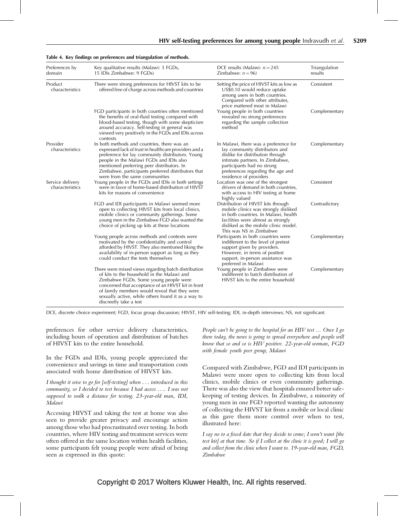| Preferences by<br>domain            | Key qualitative results (Malawi: 3 FGDs,<br>15 IDIs Zimbabwe: 9 FGDs)                                                                                                                                                                                                                                                                     | DCE results (Malawi: $n = 245$<br>Zimbabwe: $n = 96$ )                                                                                                                                                                                      | Triangulation<br>results |
|-------------------------------------|-------------------------------------------------------------------------------------------------------------------------------------------------------------------------------------------------------------------------------------------------------------------------------------------------------------------------------------------|---------------------------------------------------------------------------------------------------------------------------------------------------------------------------------------------------------------------------------------------|--------------------------|
| Product<br>characteristics          | There were strong preferences for HIVST kits to be<br>offered free of charge across methods and countries                                                                                                                                                                                                                                 | Setting the price of HIVST kits as low as<br>US\$0.10 would reduce uptake<br>among users in both countries.<br>Compared with other attributes,<br>price mattered most in Malawi                                                             | Consistent               |
|                                     | FGD participants in both countries often mentioned<br>the benefits of oral-fluid testing compared with<br>blood-based testing, though with some skepticism<br>around accuracy. Self-testing in general was<br>viewed very positively in the FGDs and IDIs across<br>contexts                                                              | Young people in both countries<br>revealed no strong preferences<br>regarding the sample collection<br>method                                                                                                                               | Complementary            |
| Provider<br>characteristics         | In both methods and countries, there was an<br>expressed lack of trust in healthcare providers and a<br>preference for lay community distributors. Young<br>people in the Malawi FGDs and IDIs also<br>mentioned preferring peer distributors. In<br>Zimbabwe, participants preferred distributors that<br>were from the same communities | In Malawi, there was a preference for<br>lay community distributors and<br>dislike for distribution through<br>intimate partners. In Zimbabwe,<br>participants had no strong<br>preferences regarding the age and<br>residence of providers | Complementary            |
| Service delivery<br>characteristics | Young people in the FGDs and IDIs in both settings<br>were in favor of home-based distribution of HIVST<br>kits for reasons of convenience                                                                                                                                                                                                | Location was one of the strongest<br>drivers of demand in both countries,<br>with access to HIV testing at home<br>highly valued                                                                                                            | Consistent               |
|                                     | FGD and IDI participants in Malawi seemed more<br>open to collecting HIVST kits from local clinics,<br>mobile clinics or community gatherings. Some<br>young men in the Zimbabwe FGD also wanted the<br>choice of picking up kits at these locations                                                                                      | Distribution of HIVST kits through<br>mobile clinics was strongly disliked<br>in both countries. In Malawi, health<br>facilities were almost as strongly<br>disliked as the mobile clinic model.<br>This was NS in Zimbabwe                 | Contradictory            |
|                                     | Young people across methods and contexts were<br>motivated by the confidentiality and control<br>afforded by HIVST. They also mentioned liking the<br>availability of in-person support as long as they<br>could conduct the tests themselves                                                                                             | Participants in both countries were<br>indifferent to the level of pretest<br>support given by providers.<br>However, in terms of posttest<br>support, in-person assistance was<br>preferred in Malawi                                      | Complementary            |
|                                     | There were mixed views regarding batch distribution<br>of kits to the household in the Malawi and<br>Zimbabwe FGDs. Some young people were<br>concerned that acceptance of an HIVST kit in front<br>of family members would reveal that they were<br>sexually active, while others found it as a way to<br>discreetly take a test         | Young people in Zimbabwe were<br>indifferent to batch distribution of<br>HIVST kits to the entire household                                                                                                                                 | Complementary            |

#### Table 4. Key findings on preferences and triangulation of methods.

DCE, discrete choice experiment; FGD, focus group discussion; HIVST, HIV self-testing; IDI, in-depth interviews; NS, not significant.

preferences for other service delivery characteristics, including hours of operation and distribution of batches of HIVST kits to the entire household.

In the FGDs and IDIs, young people appreciated the convenience and savings in time and transportation costs associated with home distribution of HIVST kits.

I thought it wise to go for [self-testing] when ... introduced in this community, so I decided to test because I had access .... I was not supposed to walk a distance for testing. 23-year-old man, IDI, Malawi

Accessing HIVST and taking the test at home was also seen to provide greater privacy and encourage action among those who had procrastinated over testing. In both countries, where HIV testing and treatment services were often offered in the same location within health facilities, some participants felt young people were afraid of being seen as expressed in this quote:

People can't be going to the hospital for an HIV test ... Once I go there today, the news is going to spread everywhere and people will know that so and so is HIV positive. 22-year-old woman, FGD with female youth peer group, Malawi

Compared with Zimbabwe, FGD and IDI participants in Malawi were more open to collecting kits from local clinics, mobile clinics or even community gatherings. There was also the view that hospitals ensured better safekeeping of testing devices. In Zimbabwe, a minority of young men in one FGD reported wanting the autonomy of collecting the HIVST kit from a mobile or local clinic as this gave them more control over when to test, illustrated here:

I say no to a fixed date that they decide to come; I won't want [the test kit] at that time. So if I collect at the clinic it is good; I will go and collect from the clinic when I want to. 19-year-old man, FGD, Zimbabwe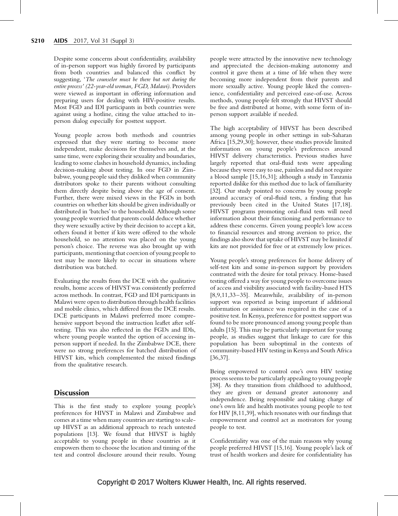Despite some concerns about confidentiality, availability of in-person support was highly favored by participants from both countries and balanced this conflict by suggesting, 'The counselor must be there but not during the entire process' (22-year-old woman, FGD, Malawi). Providers were viewed as important in offering information and preparing users for dealing with HIV-positive results. Most FGD and IDI participants in both countries were against using a hotline, citing the value attached to inperson dialog especially for posttest support.

Young people across both methods and countries expressed that they were starting to become more independent, make decisions for themselves and, at the same time, were exploring their sexuality and boundaries, leading to some clashes in household dynamics, including decision-making about testing. In one FGD in Zimbabwe, young people said they disliked when community distributors spoke to their parents without consulting them directly despite being above the age of consent. Further, there were mixed views in the FGDs in both countries on whether kits should be given individually or distributed in 'batches' to the household. Although some young people worried that parents could deduce whether they were sexually active by their decision to accept a kit, others found it better if kits were offered to the whole household, so no attention was placed on the young person's choice. The reverse was also brought up with participants, mentioning that coercion of young people to test may be more likely to occur in situations where distribution was batched.

Evaluating the results from the DCE with the qualitative results, home access of HIVST was consistently preferred across methods. In contrast, FGD and IDI participants in Malawi were open to distribution through health facilities and mobile clinics, which differed from the DCE results. DCE participants in Malawi preferred more comprehensive support beyond the instruction leaflet after selftesting. This was also reflected in the FGDs and IDIs, where young people wanted the option of accessing inperson support if needed. In the Zimbabwe DCE, there were no strong preferences for batched distribution of HIVST kits, which complemented the mixed findings from the qualitative research.

# **Discussion**

This is the first study to explore young people's preferences for HIVST in Malawi and Zimbabwe and comes at a time when many countries are starting to scaleup HIVST as an additional approach to reach untested populations [13]. We found that HIVST is highly acceptable to young people in these countries as it empowers them to choose the location and timing of the test and control disclosure around their results. Young people were attracted by the innovative new technology and appreciated the decision-making autonomy and control it gave them at a time of life when they were becoming more independent from their parents and more sexually active. Young people liked the convenience, confidentiality and perceived ease-of-use. Across methods, young people felt strongly that HIVST should be free and distributed at home, with some form of inperson support available if needed.

The high acceptability of HIVST has been described among young people in other settings in sub-Saharan Africa [15,29,30]; however, these studies provide limited information on young people's preferences around HIVST delivery characteristics. Previous studies have largely reported that oral-fluid tests were appealing because they were easy to use, painless and did not require a blood sample [15,16,31]; although a study in Tanzania reported dislike for this method due to lack of familiarity [32]. Our study pointed to concerns by young people around accuracy of oral-fluid tests, a finding that has previously been cited in the United States [17,18]. HIVST programs promoting oral-fluid tests will need information about their functioning and performance to address these concerns. Given young people's low access to financial resources and strong aversion to price, the findings also show that uptake of HIVST may be limited if kits are not provided for free or at extremely low prices.

Young people's strong preferences for home delivery of self-test kits and some in-person support by providers contrasted with the desire for total privacy. Home-based testing offered a way for young people to overcome issues of access and visibility associated with facility-based HTS [8,9,11,33–35]. Meanwhile, availability of in-person support was reported as being important if additional information or assistance was required in the case of a positive test. In Kenya, preference for posttest support was found to be more pronounced among young people than adults [15]. This may be particularly important for young people, as studies suggest that linkage to care for this population has been suboptimal in the contexts of community-based HIV testing in Kenya and South Africa [36,37].

Being empowered to control one's own HIV testing process seems to be particularly appealing to young people [38]. As they transition from childhood to adulthood, they are given or demand greater autonomy and independence. Being responsible and taking charge of one's own life and health motivates young people to test for HIV [8,11,39], which resonates with our findings that empowerment and control act as motivators for young people to test.

Confidentiality was one of the main reasons why young people preferred HIVST [15,16]. Young people's lack of trust of health workers and desire for confidentiality has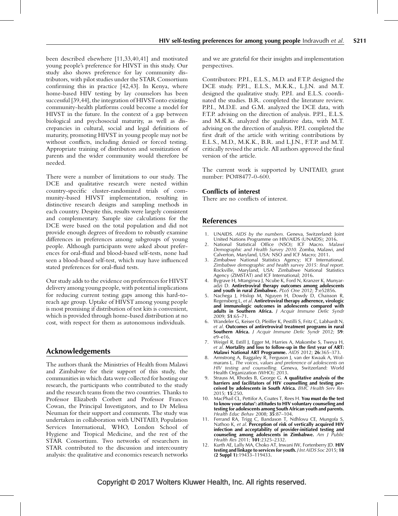been described elsewhere [11,33,40,41] and motivated young people's preference for HIVST in this study. Our study also shows preference for lay community distributors, with pilot studies under the STAR Consortium confirming this in practice [42,43]. In Kenya, where home-based HIV testing by lay counselors has been successful [39,44], the integration of HIVSTonto existing community-health platforms could become a model for HIVST in the future. In the context of a gap between biological and psychosocial maturity, as well as discrepancies in cultural, social and legal definitions of maturity, promoting HIVST in young people may not be without conflicts, including denied or forced testing. Appropriate training of distributors and sensitization of parents and the wider community would therefore be needed.

There were a number of limitations to our study. The DCE and qualitative research were nested within country-specific cluster-randomized trials of community-based HIVST implementation, resulting in distinctive research designs and sampling methods in each country. Despite this, results were largely consistent and complementary. Sample size calculations for the DCE were based on the total population and did not provide enough degrees of freedom to robustly examine differences in preferences among subgroups of young people. Although participants were asked about preferences for oral-fluid and blood-based self-tests, none had seen a blood-based self-test, which may have influenced stated preferences for oral-fluid tests.

Our study adds to the evidence on preferences for HIVST delivery among young people, with potential implications for reducing current testing gaps among this hard-toreach age group. Uptake of HIVST among young people is most promising if distribution of test kits is convenient, which is provided through home-based distribution at no cost, with respect for them as autonomous individuals.

# Acknowledgements

The authors thank the Ministries of Health from Malawi and Zimbabwe for their support of this study, the communities in which data were collected for hosting our research, the participants who contributed to the study and the research teams from the two countries. Thanks to Professor Elizabeth Corbett and Professor Frances Cowan, the Principal Investigators, and to Dr Melissa Neuman for their support and comments. The study was undertaken in collaboration with UNITAID, Population Services International, WHO, London School of Hygiene and Tropical Medicine, and the rest of the STAR Consortium. Two networks of researchers in STAR contributed to the discussion and intercountry analysis: the qualitative and economics research networks

and we are grateful for their insights and implementation perspectives.

Contributors: P.P.I., E.L.S., M.D. and F.T.P. designed the DCE study. P.P.I., E.L.S., M.K.K., L.J.N. and M.T. designed the qualitative study. P.P.I. and E.L.S. coordinated the studies. B.R. completed the literature review. P.P.I., M.D.E. and G.M. analyzed the DCE data, with F.T.P. advising on the direction of analysis. P.P.I., E.L.S. and M.K.K. analyzed the qualitative data, with M.T. advising on the direction of analysis. P.P.I. completed the first draft of the article with writing contributions by E.L.S., M.D., M.K.K., B.R. and L.J.N., F.T.P. and M.T. critically revised the article. All authors approved the final version of the article.

The current work is supported by UNITAID, grant number: PO#8477-0-600.

# Conflicts of interest

There are no conflicts of interest.

# References

- 1. UNAIDS. AIDS by the numbers. Geneva, Switzerland: Joint United Nations Programme on HIV/AIDS (UNAIDS); 2016.
- 2. National Statistical Office (NSO); ICF Macro. Malawi Demographic and Health Survey 2010. Zomba, Malawi, and Calverton, Maryland, USA: NSO and ICF Macro; 2011.
- 3. Zimbabwe National Statistics Agency; ICF International. Zimbabwe demographic and health survey 2015: final report. Rockville, Maryland, USA: Zimbabwe National Statistics Agency (ZIMSTAT) and ICF International; 2016.
- 4. Bygrave H, Mtangirwa J, Ncube K, Ford N, Kranzer K, Munyaradzi D. Antiretroviral therapy outcomes among adolescents and youth in rural Zimbabwe. PLoS One 2012; 7:e52856.
- Nachega J, Hislop M, Nguyen H, Dowdy D, Chaisson R, Regensberg L, et al. Antiretroviral therapy adherence, virologic and immunologic outcomes in adolescents compared with adults in Southern Africa. J Acquir Immune Defic Syndr 2009; 51:65–71.
- 6. Wandeler G, Keiser O, Pfeiffer K, Pestilli S, Fritz C, Labhardt N, et al. Outcomes of antiretroviral treatment programs in rural Southern Africa. J Acquir Immune Defic Syndr 2012; 59: e9–e16.
- 7. Weigel R, Estill J, Egger M, Harries A, Makombe S, Tweya H, et al. Mortality and loss to follow-up in the first year of ART: Malawi National ART Programme. AIDS 2012; 26:365–373.
- 8. Armstrong A, Baggaley R, Ferguson J, van der Kwaak A, Wolmarans L. The voices, values and preference of adolescents on HIV testing and counselling. Geneva, Switzerland: World Health Organization (WHO); 2013.
- Strauss M, Rhodes B, George G. A qualitative analysis of the barriers and facilitators of HIV counselling and testing perceived by adolescents in South Africa. BMC Health Serv Res 2015; 15:250.
- 10. MacPhail CL, Pettifor A, Coates T, Rees H. You must do the test to know your status': attitudes to HIV voluntary counseling and testing for adolescents among South African youth and parents. Health Educ Behav 2008; 35:87–104.
- 11. Ferrand RA, Trigg C, Bandason T, Ndhlovu CE, Mungofa S, Nathoo K, et al. Perception of risk of vertically acquired HIV infection and acceptability of provider-initiated testing and counseling among adolescents in Zimbabwe. Am J Public Health Res 2011; 101:2325–2332.
- 12. Kurth AE, Lally MA, Choko AT, Inwani IW, Fortenberry JD. HIV testing and linkage to services for youth. *J Int AIDS Soc* 2015; 18 (2 Suppl 1):19433–119433.

# Copyright © 2017 Wolters Kluwer Health, Inc. All rights reserved.